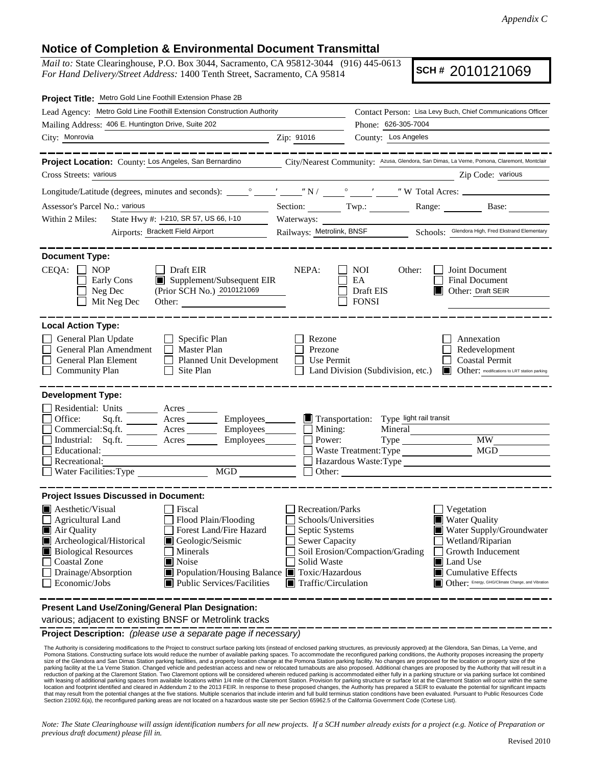## **Notice of Completion & Environmental Document Transmittal**

*Mail to:* State Clearinghouse, P.O. Box 3044, Sacramento, CA 95812-3044 (916) 445-0613 *For Hand Delivery/Street Address:* 1400 Tenth Street, Sacramento, CA 95814

**SCH #** 2010121069

| Project Title: Metro Gold Line Foothill Extension Phase 2B                                                                                                                                                                                                                                 |                                                                                                                                      |                                                                                                                                                              |                                        |                                                                                                                |                                                                                                                                                                                                              |
|--------------------------------------------------------------------------------------------------------------------------------------------------------------------------------------------------------------------------------------------------------------------------------------------|--------------------------------------------------------------------------------------------------------------------------------------|--------------------------------------------------------------------------------------------------------------------------------------------------------------|----------------------------------------|----------------------------------------------------------------------------------------------------------------|--------------------------------------------------------------------------------------------------------------------------------------------------------------------------------------------------------------|
| Lead Agency: Metro Gold Line Foothill Extension Construction Authority                                                                                                                                                                                                                     |                                                                                                                                      |                                                                                                                                                              |                                        |                                                                                                                | Contact Person: Lisa Levy Buch, Chief Communications Officer                                                                                                                                                 |
| Mailing Address: 406 E. Huntington Drive, Suite 202                                                                                                                                                                                                                                        |                                                                                                                                      |                                                                                                                                                              | Phone: 626-305-7004                    |                                                                                                                |                                                                                                                                                                                                              |
| City: Monrovia                                                                                                                                                                                                                                                                             |                                                                                                                                      | Zip: 91016                                                                                                                                                   | County: Los Angeles                    |                                                                                                                |                                                                                                                                                                                                              |
|                                                                                                                                                                                                                                                                                            |                                                                                                                                      |                                                                                                                                                              |                                        |                                                                                                                | -------------                                                                                                                                                                                                |
| Project Location: County: Los Angeles, San Bernardino City/Nearest Community: Azusa, Glendora, San Dimas, La Verne, Pomona, Claremont, Montclair                                                                                                                                           |                                                                                                                                      |                                                                                                                                                              |                                        |                                                                                                                |                                                                                                                                                                                                              |
| Cross Streets: various                                                                                                                                                                                                                                                                     |                                                                                                                                      |                                                                                                                                                              |                                        |                                                                                                                | Zip Code: various                                                                                                                                                                                            |
|                                                                                                                                                                                                                                                                                            |                                                                                                                                      |                                                                                                                                                              |                                        |                                                                                                                |                                                                                                                                                                                                              |
| Assessor's Parcel No.: various                                                                                                                                                                                                                                                             |                                                                                                                                      |                                                                                                                                                              |                                        |                                                                                                                | Section: Twp.: Range: Base:                                                                                                                                                                                  |
| State Hwy #: 1-210, SR 57, US 66, 1-10<br>Within 2 Miles:                                                                                                                                                                                                                                  |                                                                                                                                      |                                                                                                                                                              |                                        |                                                                                                                |                                                                                                                                                                                                              |
| Airports: Brackett Field Airport                                                                                                                                                                                                                                                           |                                                                                                                                      |                                                                                                                                                              |                                        |                                                                                                                | Railways: Metrolink, BNSF Schools: Glendora High, Fred Ekstrand Elementary                                                                                                                                   |
| <b>Document Type:</b><br>$CEQA: \Box$<br><b>NOP</b><br>Draft EIR<br>Early Cons<br>Neg Dec<br>Mit Neg Dec                                                                                                                                                                                   | $\blacksquare$ Supplement/Subsequent EIR<br>(Prior SCH No.) 2010121069<br>Other:                                                     | NEPA:                                                                                                                                                        | NOI<br>EA<br>Draft EIS<br><b>FONSI</b> | Other:                                                                                                         | Joint Document<br><b>Final Document</b><br>Other: Draft SEIR                                                                                                                                                 |
| <b>Local Action Type:</b><br>General Plan Update<br>$\Box$ Specific Plan<br>General Plan Amendment<br>Master Plan<br>General Plan Element<br><b>Community Plan</b><br>Site Plan<br>$\Box$                                                                                                  | Planned Unit Development                                                                                                             | Rezone<br>Prezone<br>Use Permit                                                                                                                              |                                        |                                                                                                                | Annexation<br>Redevelopment<br><b>Coastal Permit</b><br>Land Division (Subdivision, etc.) <b>In Other:</b> modifications to LRT station parking                                                              |
| <b>Development Type:</b><br>Residential: Units ________ Acres ______<br>Office:<br>Sq.ft. _________ Acres ___________ Employees_________<br>Commercial:Sq.ft.<br>Industrial: Sq.ft. _______ Acres _______ Employees_______<br>Educational:<br>Recreational:<br>Water Facilities: Type MGD  | Acres Employees                                                                                                                      | Mining:<br>Power:                                                                                                                                            |                                        | Transportation: Type light rail transit<br>Mineral<br>Waste Treatment: Type<br>Hazardous Waste: Type<br>Other: | <b>MW</b><br>MGD                                                                                                                                                                                             |
| <b>Project Issues Discussed in Document:</b><br><b>Aesthetic/Visual</b><br>Fiscal<br>Agricultural Land<br>Air Quality<br>Archeological/Historical<br>Geologic/Seismic<br><b>Biological Resources</b><br>Minerals<br>Coastal Zone<br><b>■</b> Noise<br>Drainage/Absorption<br>Economic/Jobs | Flood Plain/Flooding<br>Forest Land/Fire Hazard<br>Population/Housing Balance <b>T</b> Toxic/Hazardous<br>Public Services/Facilities | Recreation/Parks<br>Schools/Universities<br>Septic Systems<br><b>Sewer Capacity</b><br>Soil Erosion/Compaction/Grading<br>Solid Waste<br>Traffic/Circulation |                                        |                                                                                                                | Vegetation<br><b>Water Quality</b><br>Water Supply/Groundwater<br>Wetland/Riparian<br>Growth Inducement<br>Land Use<br>$\blacksquare$ Cumulative Effects<br>Other: Energy, GHG/Climate Change, and Vibration |
| <b>Procent Land Llse/Zoning/Ceneral Plan Designation:</b>                                                                                                                                                                                                                                  |                                                                                                                                      |                                                                                                                                                              |                                        |                                                                                                                |                                                                                                                                                                                                              |

**Present Land Use/Zoning/General Plan Designation:** various; adjacent to existing BNSF or Metrolink tracks

**Project Description:** *(please use a separate page if necessary)*

The Authority is considering modifications to the Project to construct surface parking lots (instead of enclosed parking structures, as previously approved) at the Glendora, San Dimas, La Verne, and Pomona Stations. Constructing surface lots would reduce the number of available parking spaces. To accommodate the reconfigured parking conditions, the Authority proposes increasing the property<br>size of the Glendora and Sa parking facility at the La Verne Station. Changed vehicle and pedestrian access and new or relocated turnabouts are also proposed. Additional changes are proposed by the Authority that will result in a reduction of parking at the Claremont Station. Two Claremont options will be considered wherein reduced parking is accommodated either fully in a parking structure or via parking surface lot combined<br>with leasing of additi location and footprint identified and cleared in Addendum 2 to the 2013 FEIR. In response to these proposed changes, the Authority has prepared a SEIR to evaluate the potential for significant impacts<br>that may result from Section 21092.6(a), the reconfigured parking areas are not located on a hazardous waste site per Section 65962.5 of the California Government Code (Cortese List).

*Note: The State Clearinghouse will assign identification numbers for all new projects. If a SCH number already exists for a project (e.g. Notice of Preparation or previous draft document) please fill in.*